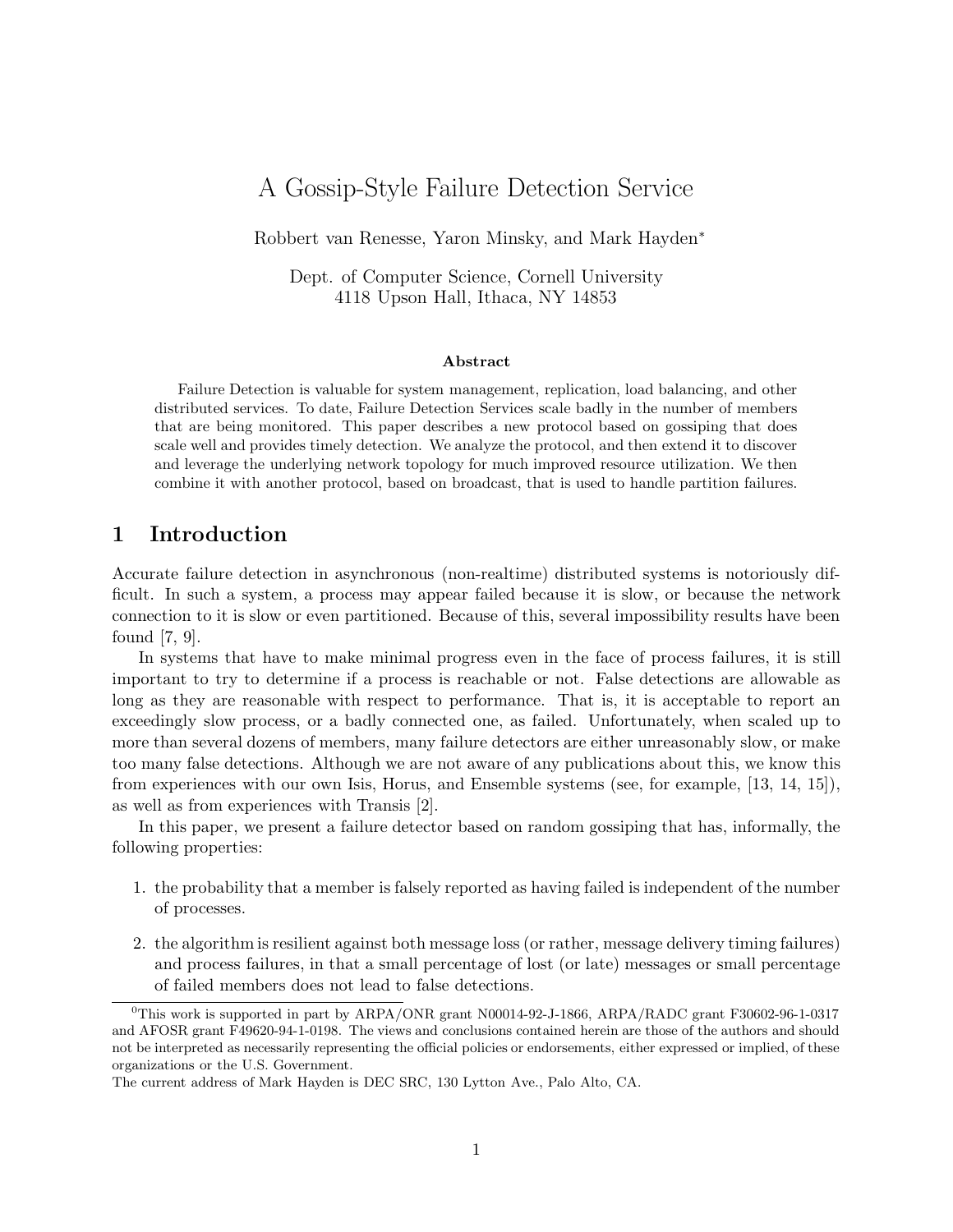# A Gossip-Style Failure Detection Service

Robbert van Renesse, Yaron Minsky, and Mark Hayden<sup>∗</sup>

Dept. of Computer Science, Cornell University 4118 Upson Hall, Ithaca, NY 14853

#### Abstract

Failure Detection is valuable for system management, replication, load balancing, and other distributed services. To date, Failure Detection Services scale badly in the number of members that are being monitored. This paper describes a new protocol based on gossiping that does scale well and provides timely detection. We analyze the protocol, and then extend it to discover and leverage the underlying network topology for much improved resource utilization. We then combine it with another protocol, based on broadcast, that is used to handle partition failures.

## 1 Introduction

Accurate failure detection in asynchronous (non-realtime) distributed systems is notoriously difficult. In such a system, a process may appear failed because it is slow, or because the network connection to it is slow or even partitioned. Because of this, several impossibility results have been found [7, 9].

In systems that have to make minimal progress even in the face of process failures, it is still important to try to determine if a process is reachable or not. False detections are allowable as long as they are reasonable with respect to performance. That is, it is acceptable to report an exceedingly slow process, or a badly connected one, as failed. Unfortunately, when scaled up to more than several dozens of members, many failure detectors are either unreasonably slow, or make too many false detections. Although we are not aware of any publications about this, we know this from experiences with our own Isis, Horus, and Ensemble systems (see, for example, [13, 14, 15]), as well as from experiences with Transis [2].

In this paper, we present a failure detector based on random gossiping that has, informally, the following properties:

- 1. the probability that a member is falsely reported as having failed is independent of the number of processes.
- 2. the algorithm is resilient against both message loss(or rather, message delivery timing failures) and process failures, in that a small percentage of lost (or late) messages or small percentage of failed members does not lead to false detections.

<sup>&</sup>lt;sup>0</sup>This work is supported in part by ARPA/ONR grant N00014-92-J-1866, ARPA/RADC grant F30602-96-1-0317 and AFOSR grant F49620-94-1-0198. The views and conclusions contained herein are those of the authors and should not be interpreted as necessarily representing the official policies or endorsements, either expressed or implied, of these organizations or the U.S. Government.

The current address of Mark Hayden is DEC SRC, 130 Lytton Ave., Palo Alto, CA.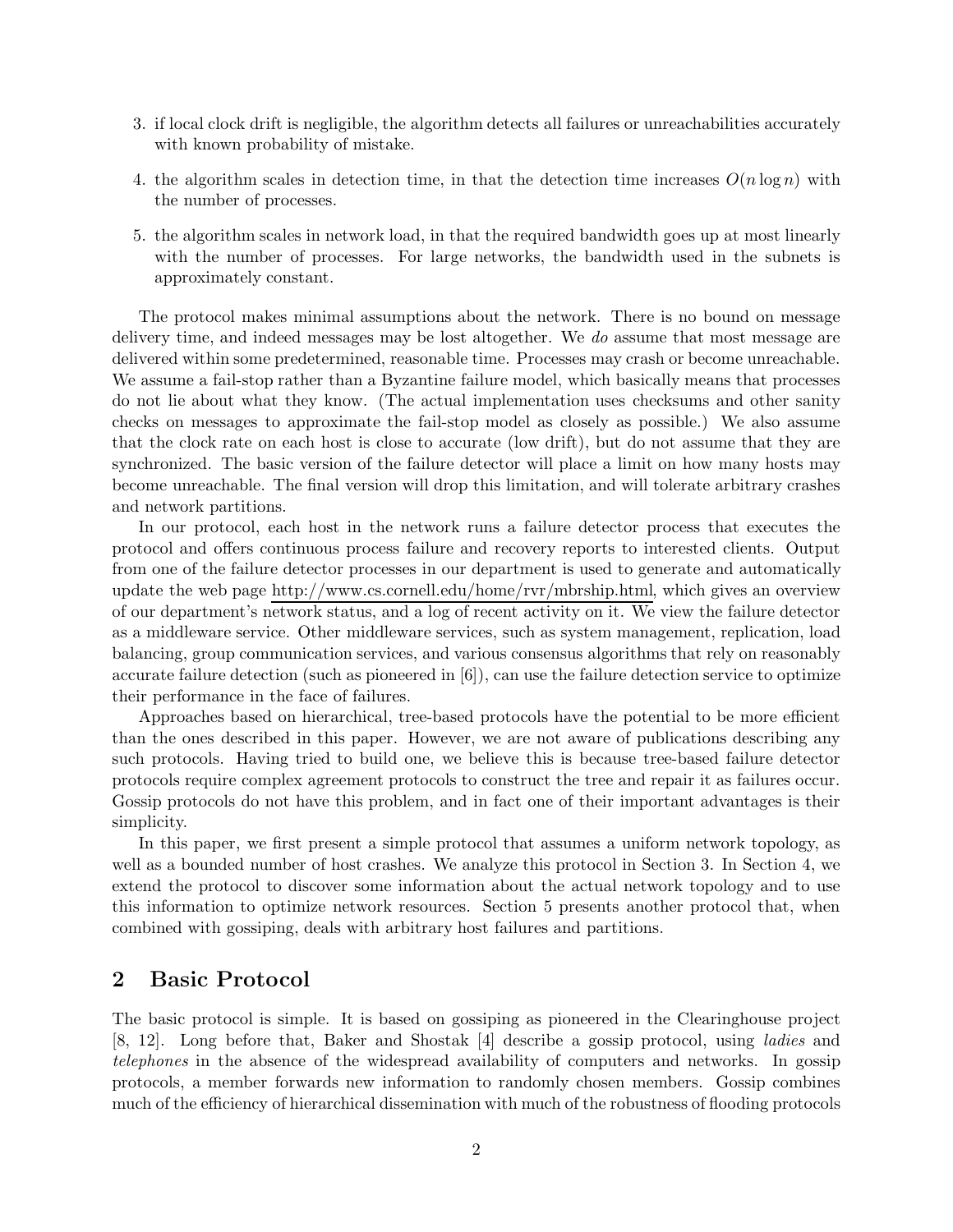- 3. if local clock drift is negligible, the algorithm detects all failures or unreachabilities accurately with known probability of mistake.
- 4. the algorithm scales in detection time, in that the detection time increases  $O(n \log n)$  with the number of processes.
- 5. the algorithm scales in network load, in that the required bandwidth goes up at most linearly with the number of processes. For large networks, the bandwidth used in the subnets is approximately constant.

The protocol makes minimal assumptions about the network. There is no bound on message delivery time, and indeed messages may be lost altogether. We do assume that most message are delivered within some predetermined, reasonable time. Processes may crash or become unreachable. We assume a fail-stop rather than a Byzantine failure model, which basically means that processes do not lie about what they know. (The actual implementation uses checksums and other sanity checks on messages to approximate the fail-stop model as closely as possible.) We also assume that the clock rate on each host is close to accurate (low drift), but do not assume that they are synchronized. The basic version of the failure detector will place a limit on how many hosts may become unreachable. The final version will drop this limitation, and will tolerate arbitrary crashes and network partitions.

In our protocol, each host in the network runs a failure detector process that executes the protocol and offers continuous process failure and recovery reports to interested clients. Output from one of the failure detector processes in our department is used to generate and automatically update the web page http://www.cs.cornell.edu/home/rvr/mbrship.html, which gives an overview of our department's network status, and a log of recent activity on it. We view the failure detector as a middleware service. Other middleware services, such as system management, replication, load balancing, group communication services, and various consensus algorithms that rely on reasonably accurate failure detection (such as pioneered in [6]), can use the failure detection service to optimize their performance in the face of failures.

Approaches based on hierarchical, tree-based protocols have the potential to be more efficient than the ones described in this paper. However, we are not aware of publications describing any such protocols. Having tried to build one, we believe this is because tree-based failure detector protocols require complex agreement protocols to construct the tree and repair it as failures occur. Gossip protocols do not have this problem, and in fact one of their important advantages is their simplicity.

In this paper, we first present a simple protocol that assumes a uniform network topology, as well as a bounded number of host crashes. We analyze this protocol in Section 3. In Section 4, we extend the protocol to discover some information about the actual network topology and to use this information to optimize network resources. Section 5 presents another protocol that, when combined with gossiping, deals with arbitrary host failures and partitions.

### 2 Basic Protocol

The basic protocol is simple. It is based on gossiping as pioneered in the Clearinghouse project [8, 12]. Long before that, Baker and Shostak [4] describe a gossip protocol, using ladies and telephones in the absence of the widespread availability of computers and networks. In gossip protocols, a member forwards new information to randomly chosen members. Gossip combines much of the efficiency of hierarchical dissemination with much of the robustness of flooding protocols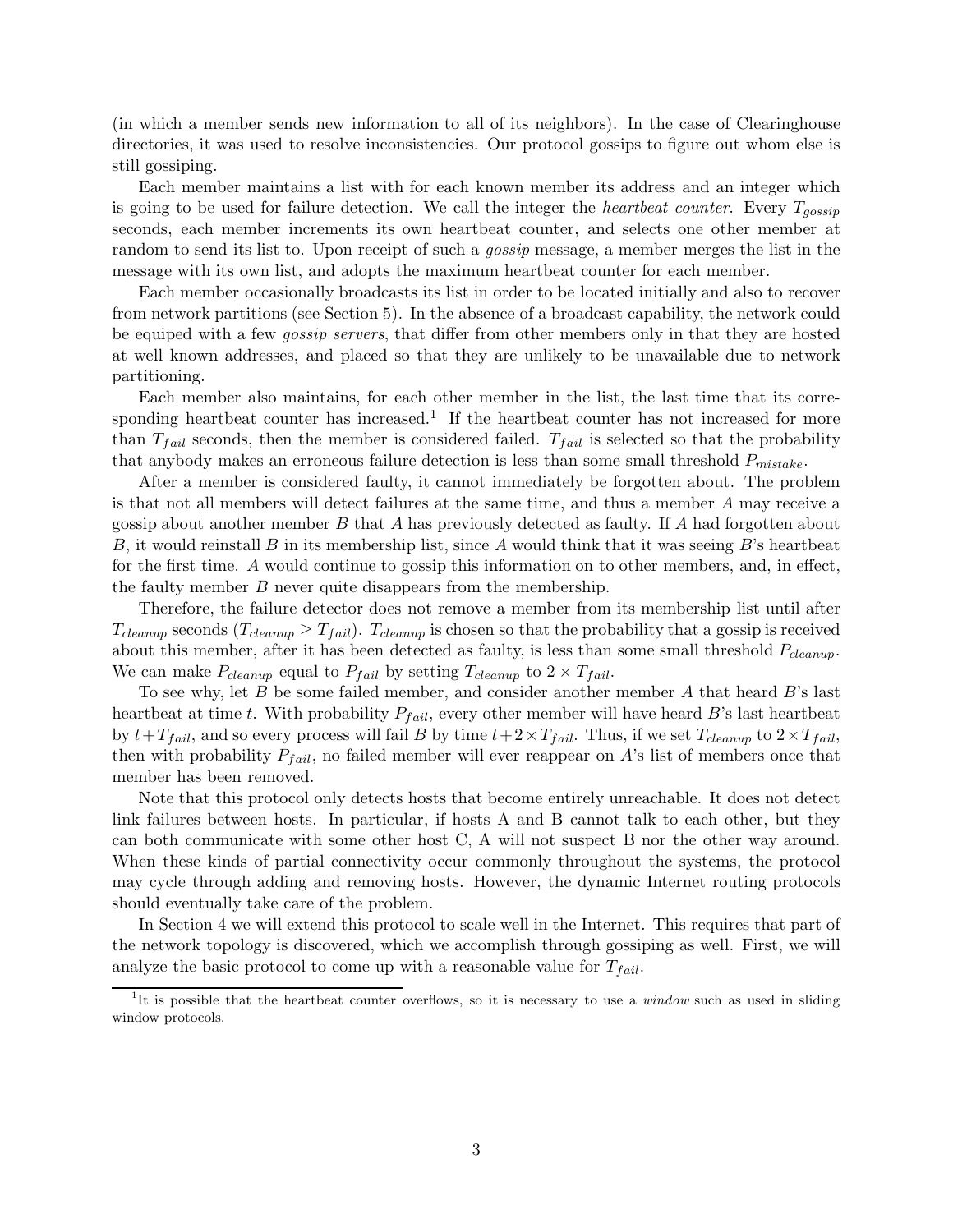(in which a member sends new information to all of its neighbors). In the case of Clearinghouse directories, it was used to resolve inconsistencies. Our protocol gossips to figure out whom else is still gossiping.

Each member maintains a list with for each known member its address and an integer which is going to be used for failure detection. We call the integer the *heartbeat counter*. Every  $T_{qossip}$ seconds, each member increments its own heartbeat counter, and selects one other member at random to send its list to. Upon receipt of such a gossip message, a member merges the list in the message with its own list, and adopts the maximum heartbeat counter for each member.

Each member occasionally broadcasts its list in order to be located initially and also to recover from network partitions (see Section 5). In the absence of a broadcast capability, the network could be equiped with a few *gossip servers*, that differ from other members only in that they are hosted at well known addresses, and placed so that they are unlikely to be unavailable due to network partitioning.

Each member also maintains, for each other member in the list, the last time that its corresponding heartbeat counter has increased.<sup>1</sup> If the heartbeat counter has not increased for more than  $T_{fail}$  seconds, then the member is considered failed.  $T_{fail}$  is selected so that the probability that anybody makes an erroneous failure detection is less than some small threshold  $P_{mistake}$ .

After a member is considered faulty, it cannot immediately be forgotten about. The problem is that not all members will detect failures at the same time, and thus a member A may receive a gossip about another member  $B$  that  $A$  has previously detected as faulty. If  $A$  had forgotten about B, it would reinstall B in its membership list, since A would think that it was seeing B's heartbeat for the first time. A would continue to gossip this information on to other members, and, in effect, the faulty member  $B$  never quite disappears from the membership.

Therefore, the failure detector does not remove a member from its membership list until after  $T_{cleanup}$  seconds ( $T_{cleanup} \geq T_{fail}$ ).  $T_{cleanup}$  is chosen so that the probability that a gossip is received about this member, after it has been detected as faulty, is less than some small threshold  $P_{cleanun}$ . We can make  $P_{cleanup}$  equal to  $P_{fail}$  by setting  $T_{cleanup}$  to  $2 \times T_{fail}$ .

To see why, let  $B$  be some failed member, and consider another member  $A$  that heard  $B$ 's last heartbeat at time t. With probability  $P_{fail}$ , every other member will have heard B's last heartbeat by  $t+T_{fail}$ , and so every process will fail B by time  $t+2\times T_{fail}$ . Thus, if we set  $T_{cleanup}$  to  $2\times T_{fail}$ , then with probability  $P_{fail}$ , no failed member will ever reappear on A's list of members once that member has been removed.

Note that this protocol only detects hosts that become entirely unreachable. It does not detect link failures between hosts. In particular, if hosts A and B cannot talk to each other, but they can both communicate with some other host C, A will not suspect B nor the other way around. When these kinds of partial connectivity occur commonly throughout the systems, the protocol may cycle through adding and removing hosts. However, the dynamic Internet routing protocols should eventually take care of the problem.

In Section 4 we will extend this protocol to scale well in the Internet. This requires that part of the network topology is discovered, which we accomplish through gossiping as well. First, we will analyze the basic protocol to come up with a reasonable value for  $T_{fail}$ .

<sup>&</sup>lt;sup>1</sup>It is possible that the heartbeat counter overflows, so it is necessary to use a *window* such as used in sliding window protocols.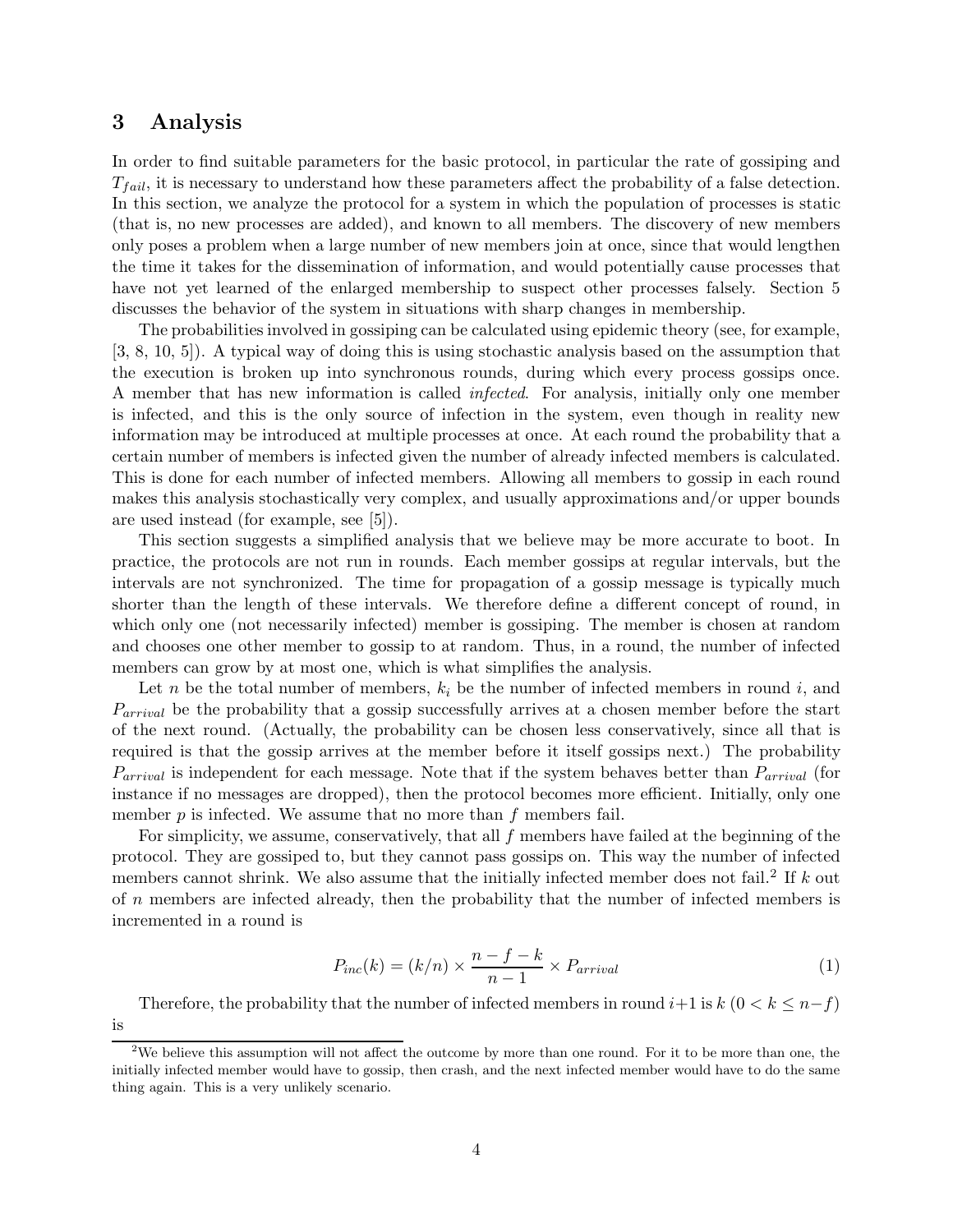## 3 Analysis

In order to find suitable parameters for the basic protocol, in particular the rate of gossiping and  $T_{fail}$ , it is necessary to understand how these parameters affect the probability of a false detection. In this section, we analyze the protocol for a system in which the population of processes is static (that is, no new processes are added), and known to all members. The discovery of new members only poses a problem when a large number of new members join at once, since that would lengthen the time it takes for the dissemination of information, and would potentially cause processes that have not yet learned of the enlarged membership to suspect other processes falsely. Section 5 discusses the behavior of the system in situations with sharp changes in membership.

The probabilitiesinvolved in gossiping can be calculated using epidemic theory (see, for example, [3, 8, 10, 5]). A typical way of doing this is using stochastic analysis based on the assumption that the execution is broken up into synchronous rounds, during which every process gossips once. A member that has new information is called infected. For analysis, initially only one member is infected, and this is the only source of infection in the system, even though in reality new information may be introduced at multiple processes at once. At each round the probability that a certain number of members is infected given the number of already infected members is calculated. This is done for each number of infected members. Allowing all members to gossip in each round makes this analysis stochastically very complex, and usually approximations and/or upper bounds are used instead (for example, see [5]).

This section suggests a simplified analysis that we believe may be more accurate to boot. In practice, the protocols are not run in rounds. Each member gossips at regular intervals, but the intervals are not synchronized. The time for propagation of a gossip message is typically much shorter than the length of these intervals. We therefore define a different concept of round, in which only one (not necessarily infected) member is gossiping. The member is chosen at random and chooses one other member to gossip to at random. Thus, in a round, the number of infected members can grow by at most one, which is what simplifies the analysis.

Let n be the total number of members,  $k_i$  be the number of infected members in round i, and  $P_{arrival}$  be the probability that a gossip successfully arrives at a chosen member before the start of the next round. (Actually, the probability can be chosen less conservatively, since all that is required is that the gossip arrives at the member before it itself gossips next.) The probability  $P_{arrival}$  is independent for each message. Note that if the system behaves better than  $P_{arrival}$  (for instance if no messages are dropped), then the protocol becomes more efficient. Initially, only one member  $p$  is infected. We assume that no more than  $f$  members fail.

For simplicity, we assume, conservatively, that all  $f$  members have failed at the beginning of the protocol. They are gossiped to, but they cannot pass gossips on. This way the number of infected members cannot shrink. We also assume that the initially infected member does not fail.<sup>2</sup> If  $k$  out of n members are infected already, then the probability that the number of infected members is incremented in a round is

$$
P_{inc}(k) = (k/n) \times \frac{n-f-k}{n-1} \times P_{arrival}
$$
\n(1)

Therefore, the probability that the number of infected members in round  $i+1$  is  $k$   $(0 < k \leq n-f)$ is

<sup>&</sup>lt;sup>2</sup>We believe this assumption will not affect the outcome by more than one round. For it to be more than one, the initially infected member would have to gossip, then crash, and the next infected member would have to do the same thing again. This is a very unlikely scenario.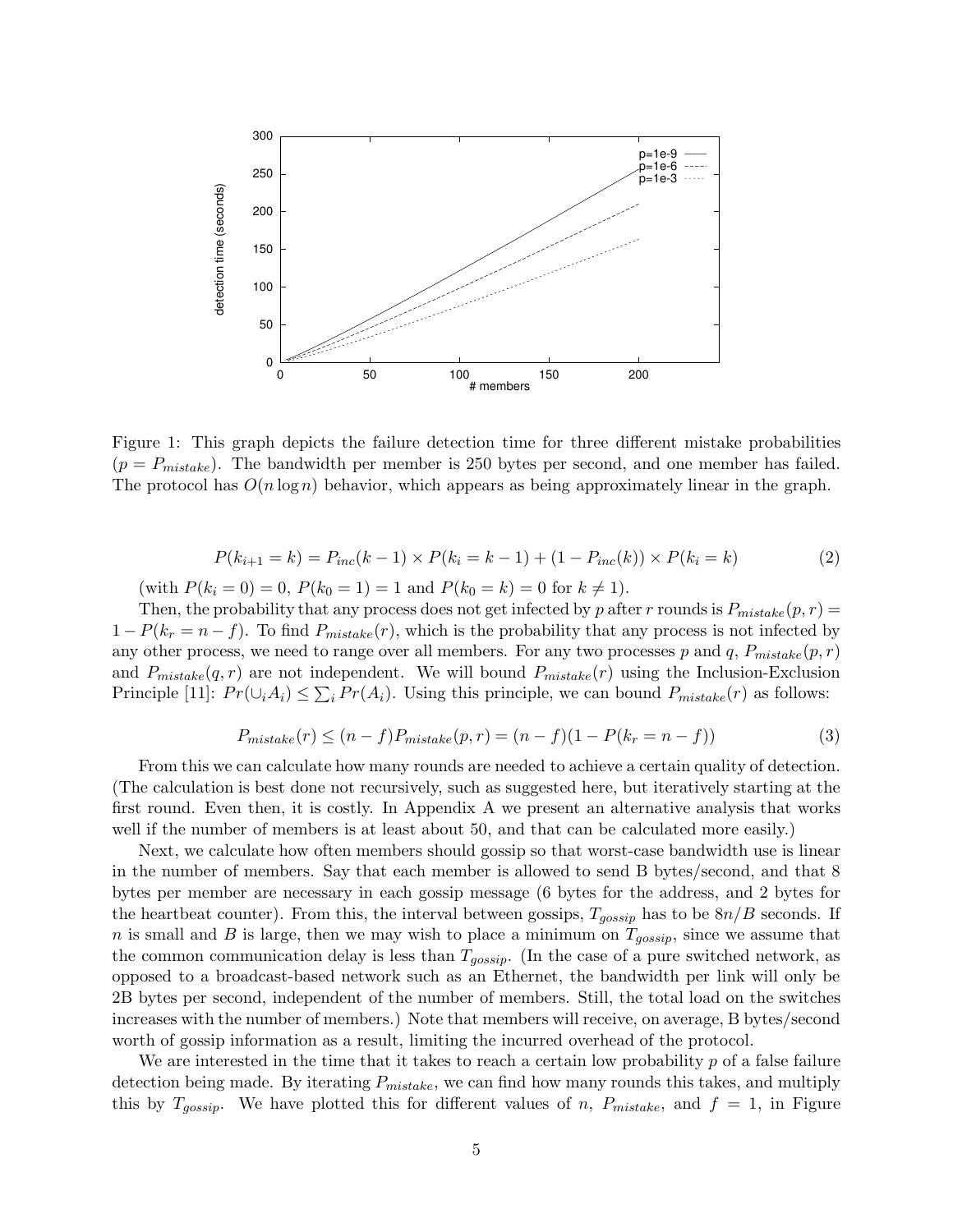

Figure 1: This graph depicts the failure detection time for three different mistake probabilities  $(p = P_{mistake})$ . The bandwidth per member is 250 bytes per second, and one member has failed. The protocol has  $O(n \log n)$  behavior, which appears as being approximately linear in the graph.

$$
P(k_{i+1} = k) = P_{inc}(k-1) \times P(k_i = k-1) + (1 - P_{inc}(k)) \times P(k_i = k)
$$
\n(2)

(with  $P(k_i = 0) = 0$ ,  $P(k_0 = 1) = 1$  and  $P(k_0 = k) = 0$  for  $k \neq 1$ ).

Then, the probability that any process does not get infected by p after r rounds is  $P_{mistake}(p, r)$  $1-P(k_r=n-f)$ . To find  $P_{mistake}(r)$ , which is the probability that any process is not infected by any other process, we need to range over all members. For any two processes p and q,  $P_{mistake}(p, r)$ and  $P_{mistake}(q, r)$  are not independent. We will bound  $P_{mistake}(r)$  using the Inclusion-Exclusion Principle [11]:  $Pr(\cup_i A_i) \leq \sum_i Pr(A_i)$ . Using this principle, we can bound  $P_{mistake}(r)$  as follows:

$$
P_{mistake}(r) \le (n-f)P_{mistake}(p,r) = (n-f)(1 - P(k_r = n - f))
$$
\n(3)

From this we can calculate how many rounds are needed to achieve a certain quality of detection. (The calculation is best done not recursively, such as suggested here, but iteratively starting at the first round. Even then, it is costly. In Appendix A we present an alternative analysis that works well if the number of members is at least about 50, and that can be calculated more easily.)

Next, we calculate how often members should gossip so that worst-case bandwidth use is linear in the number of members. Say that each member is allowed to send B bytes/second, and that 8 bytes per member are necessary in each gossip message (6 bytes for the address, and 2 bytes for the heartbeat counter). From this, the interval between gossips,  $T_{gossip}$  has to be  $8n/B$  seconds. If n is small and B is large, then we may wish to place a minimum on  $T_{gossip}$ , since we assume that the common communication delay is less than  $T_{gossip}$ . (In the case of a pure switched network, as opposed to a broadcast-based network such as an Ethernet, the bandwidth per link will only be 2B bytes per second, independent of the number of members. Still, the total load on the switches increases with the number of members.) Note that members will receive, on average, B bytes/second worth of gossip information as a result, limiting the incurred overhead of the protocol.

We are interested in the time that it takes to reach a certain low probability  $p$  of a false failure detection being made. By iterating  $P_{mistake}$ , we can find how many rounds this takes, and multiply this by  $T_{gossip}$ . We have plotted this for different values of n,  $P_{mistake}$ , and  $f = 1$ , in Figure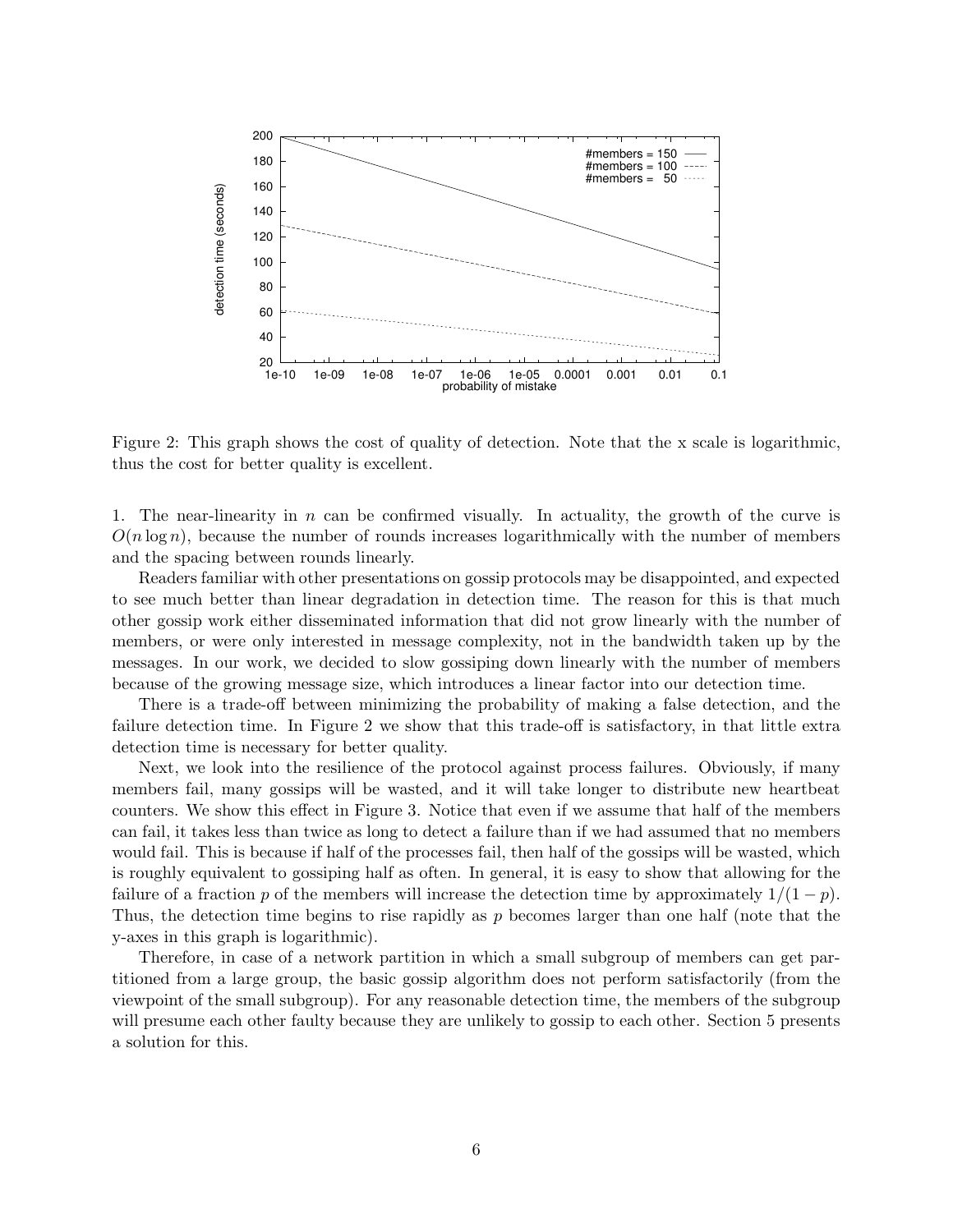

Figure 2: This graph shows the cost of quality of detection. Note that the x scale is logarithmic, thus the cost for better quality is excellent.

1. The near-linearity in n can be confirmed visually. In actuality, the growth of the curve is  $O(n \log n)$ , because the number of rounds increases logarithmically with the number of members and the spacing between rounds linearly.

Readers familiar with other presentations on gossip protocols may be disappointed, and expected to see much better than linear degradation in detection time. The reason for this is that much other gossip work either disseminated information that did not grow linearly with the number of members, or were only interested in message complexity, not in the bandwidth taken up by the messages. In our work, we decided to slow gossiping down linearly with the number of members because of the growing message size, which introduces a linear factor into our detection time.

There is a trade-off between minimizing the probability of making a false detection, and the failure detection time. In Figure 2 we show that this trade-off is satisfactory, in that little extra detection time is necessary for better quality.

Next, we look into the resilience of the protocol against process failures. Obviously, if many members fail, many gossips will be wasted, and it will take longer to distribute new heartbeat counters. We show this effect in Figure 3. Notice that even if we assume that half of the members can fail, it takes less than twice as long to detect a failure than if we had assumed that no members would fail. This is because if half of the processes fail, then half of the gossips will be wasted, which is roughly equivalent to gossiping half as often. In general, it is easy to show that allowing for the failure of a fraction p of the members will increase the detection time by approximately  $1/(1-p)$ . Thus, the detection time begins to rise rapidly as p becomes larger than one half (note that the y-axes in this graph is logarithmic).

Therefore, in case of a network partition in which a small subgroup of members can get partitioned from a large group, the basic gossip algorithm does not perform satisfactorily (from the viewpoint of the small subgroup). For any reasonable detection time, the members of the subgroup will presume each other faulty because they are unlikely to gossip to each other. Section 5 presents a solution for this.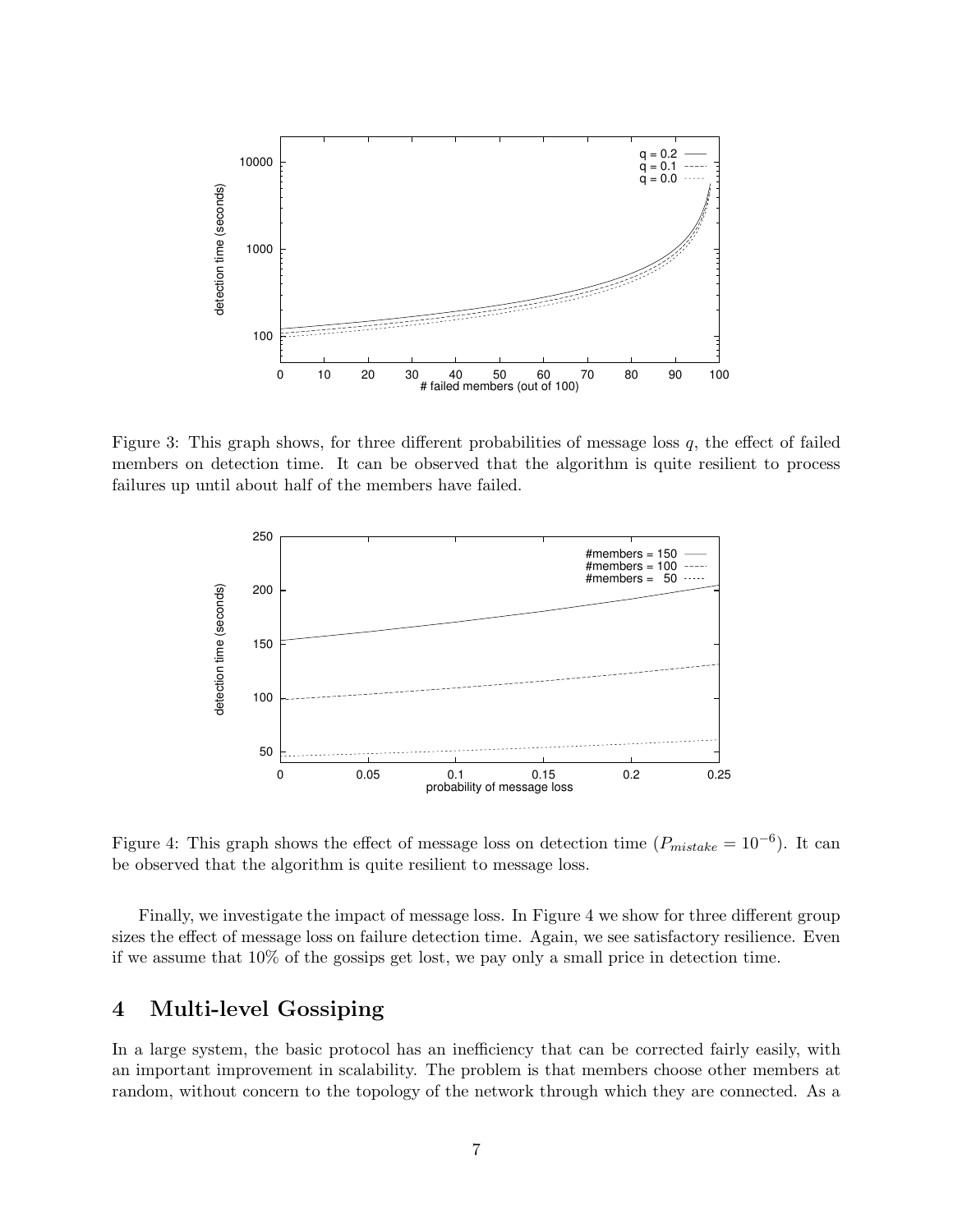

Figure 3: This graph shows, for three different probabilities of message loss  $q$ , the effect of failed members on detection time. It can be observed that the algorithm is quite resilient to process failures up until about half of the members have failed.



Figure 4: This graph shows the effect of message loss on detection time  $(P_{mistake} = 10^{-6})$ . It can be observed that the algorithm is quite resilient to message loss.

Finally, we investigate the impact of message loss. In Figure 4 we show for three different group sizes the effect of message loss on failure detection time. Again, we see satisfactory resilience. Even if we assume that 10% of the gossips get lost, we pay only a small price in detection time.

## 4 Multi-level Gossiping

In a large system, the basic protocol has an inefficiency that can be corrected fairly easily, with an important improvement in scalability. The problem is that members choose other members at random, without concern to the topology of the network through which they are connected. As a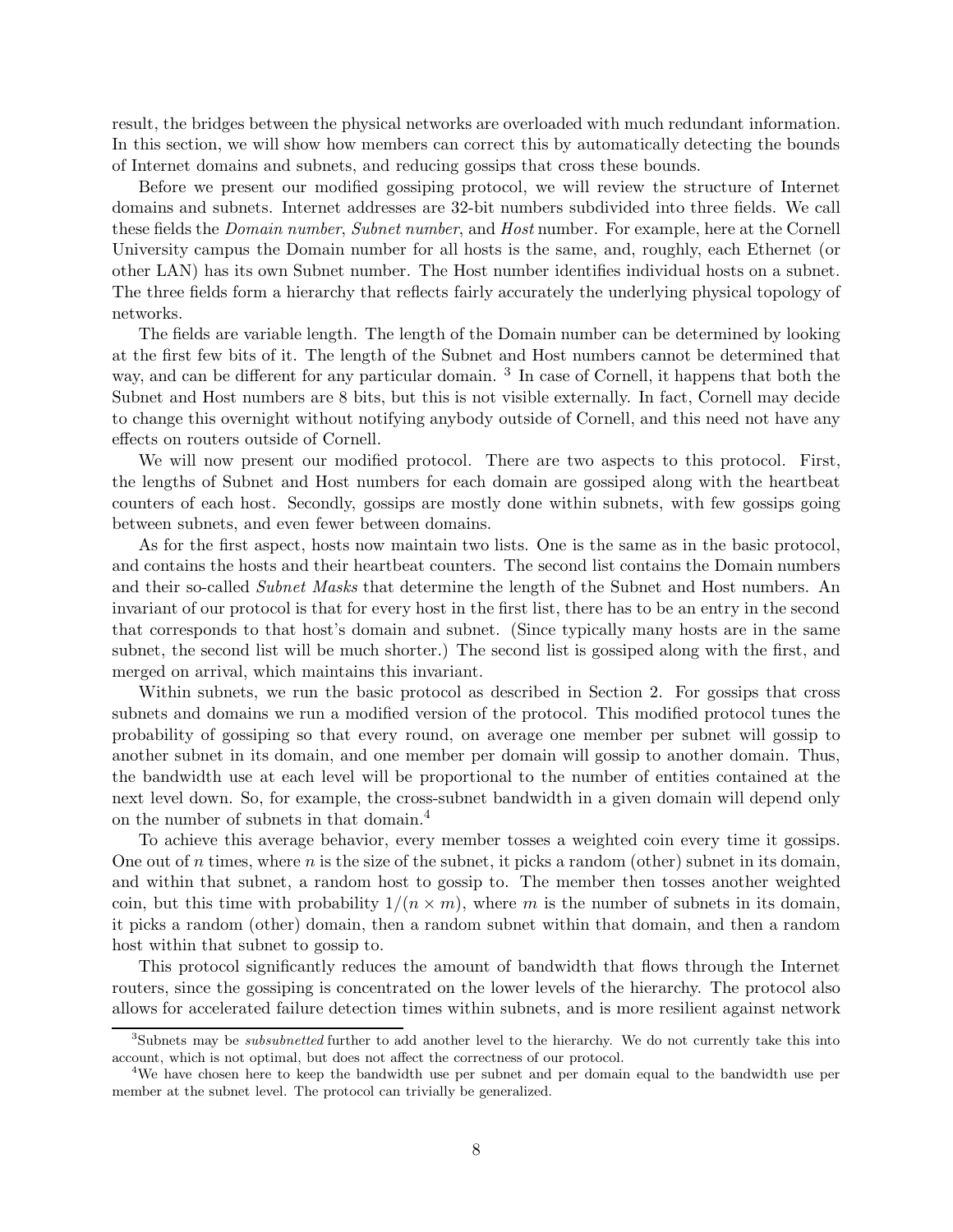result, the bridges between the physical networks are overloaded with much redundant information. In this section, we will show how members can correct this by automatically detecting the bounds of Internet domains and subnets, and reducing gossips that cross these bounds.

Before we present our modified gossiping protocol, we will review the structure of Internet domains and subnets. Internet addresses are 32-bit numbers subdivided into three fields. We call these fields the Domain number, Subnet number, and Host number. For example, here at the Cornell University campus the Domain number for all hosts is the same, and, roughly, each Ethernet (or other LAN) has its own Subnet number. The Host number identifies individual hosts on a subnet. The three fields form a hierarchy that reflects fairly accurately the underlying physical topology of networks.

The fields are variable length. The length of the Domain number can be determined by looking at the first few bits of it. The length of the Subnet and Host numbers cannot be determined that way, and can be different for any particular domain.<sup>3</sup> In case of Cornell, it happens that both the Subnet and Host numbers are 8 bits, but this is not visible externally. In fact, Cornell may decide to change this overnight without notifying anybody outside of Cornell, and this need not have any effects on routers outside of Cornell.

We will now present our modified protocol. There are two aspects to this protocol. First, the lengths of Subnet and Host numbers for each domain are gossiped along with the heartbeat counters of each host. Secondly, gossips are mostly done within subnets, with few gossips going between subnets, and even fewer between domains.

As for the first aspect, hosts now maintain two lists. One is the same as in the basic protocol, and contains the hosts and their heartbeat counters. The second list contains the Domain numbers and their so-called *Subnet Masks* that determine the length of the Subnet and Host numbers. An invariant of our protocol is that for every host in the first list, there has to be an entry in the second that corresponds to that host's domain and subnet. (Since typically many hosts are in the same subnet, the second list will be much shorter.) The second list is gossiped along with the first, and merged on arrival, which maintains this invariant.

Within subnets, we run the basic protocol as described in Section 2. For gossips that cross subnets and domains we run a modified version of the protocol. This modified protocol tunes the probability of gossiping so that every round, on average one member per subnet will gossip to another subnet in its domain, and one member per domain will gossip to another domain. Thus, the bandwidth use at each level will be proportional to the number of entities contained at the next level down. So, for example, the cross-subnet bandwidth in a given domain will depend only on the number of subnets in that domain.<sup>4</sup>

To achieve this average behavior, every member tosses a weighted coin every time it gossips. One out of n times, where n is the size of the subnet, it picks a random (other) subnet in its domain. and within that subnet, a random host to gossip to. The member then tosses another weighted coin, but this time with probability  $1/(n \times m)$ , where m is the number of subnets in its domain, it picks a random (other) domain, then a random subnet within that domain, and then a random host within that subnet to gossip to.

This protocol significantly reduces the amount of bandwidth that flows through the Internet routers, since the gossiping is concentrated on the lower levels of the hierarchy. The protocol also allows for accelerated failure detection times within subnets, and is more resilient against network

<sup>&</sup>lt;sup>3</sup>Subnets may be *subsubnetted* further to add another level to the hierarchy. We do not currently take this into account, which is not optimal, but does not affect the correctness of our protocol.

<sup>4</sup>We have chosen here to keep the bandwidth use per subnet and per domain equal to the bandwidth use per member at the subnet level. The protocol can trivially be generalized.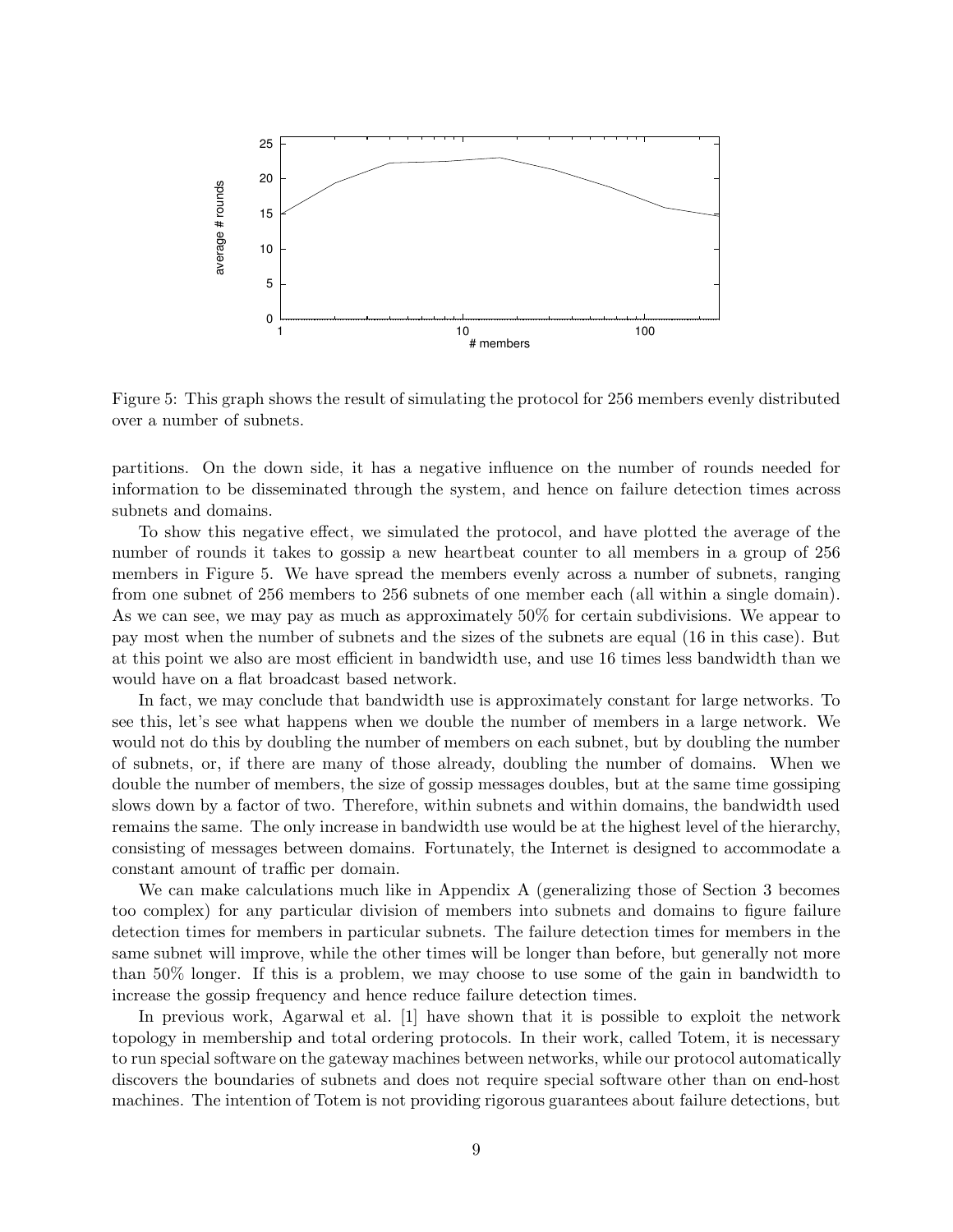

Figure 5: This graph shows the result of simulating the protocol for 256 members evenly distributed over a number of subnets.

partitions. On the down side, it has a negative influence on the number of rounds needed for information to be disseminated through the system, and hence on failure detection times across subnets and domains.

To show this negative effect, we simulated the protocol, and have plotted the average of the number of rounds it takes to gossip a new heartbeat counter to all members in a group of 256 members in Figure 5. We have spread the members evenly across a number of subnets, ranging from one subnet of 256 members to 256 subnets of one member each (all within a single domain). As we can see, we may pay as much as approximately 50% for certain subdivisions. We appear to pay most when the number of subnets and the sizes of the subnets are equal (16 in this case). But at this point we also are most efficient in bandwidth use, and use 16 times less bandwidth than we would have on a flat broadcast based network.

In fact, we may conclude that bandwidth use is approximately constant for large networks. To see this, let's see what happens when we double the number of members in a large network. We would not do this by doubling the number of members on each subnet, but by doubling the number of subnets, or, if there are many of those already, doubling the number of domains. When we double the number of members, the size of gossip messages doubles, but at the same time gossiping slows down by a factor of two. Therefore, within subnets and within domains, the bandwidth used remains the same. The only increase in bandwidth use would be at the highest level of the hierarchy, consisting of messages between domains. Fortunately, the Internet is designed to accommodate a constant amount of traffic per domain.

We can make calculations much like in Appendix A (generalizing those of Section 3 becomes too complex) for any particular division of members into subnets and domains to figure failure detection times for members in particular subnets. The failure detection times for members in the same subnet will improve, while the other times will be longer than before, but generally not more than 50% longer. If this is a problem, we may choose to use some of the gain in bandwidth to increase the gossip frequency and hence reduce failure detection times.

In previous work, Agarwal et al. [1] have shown that it is possible to exploit the network topology in membership and total ordering protocols. In their work, called Totem, it is necessary to run special software on the gateway machines between networks, while our protocol automatically discovers the boundaries of subnets and does not require special software other than on end-host machines. The intention of Totem is not providing rigorous guarantees about failure detections, but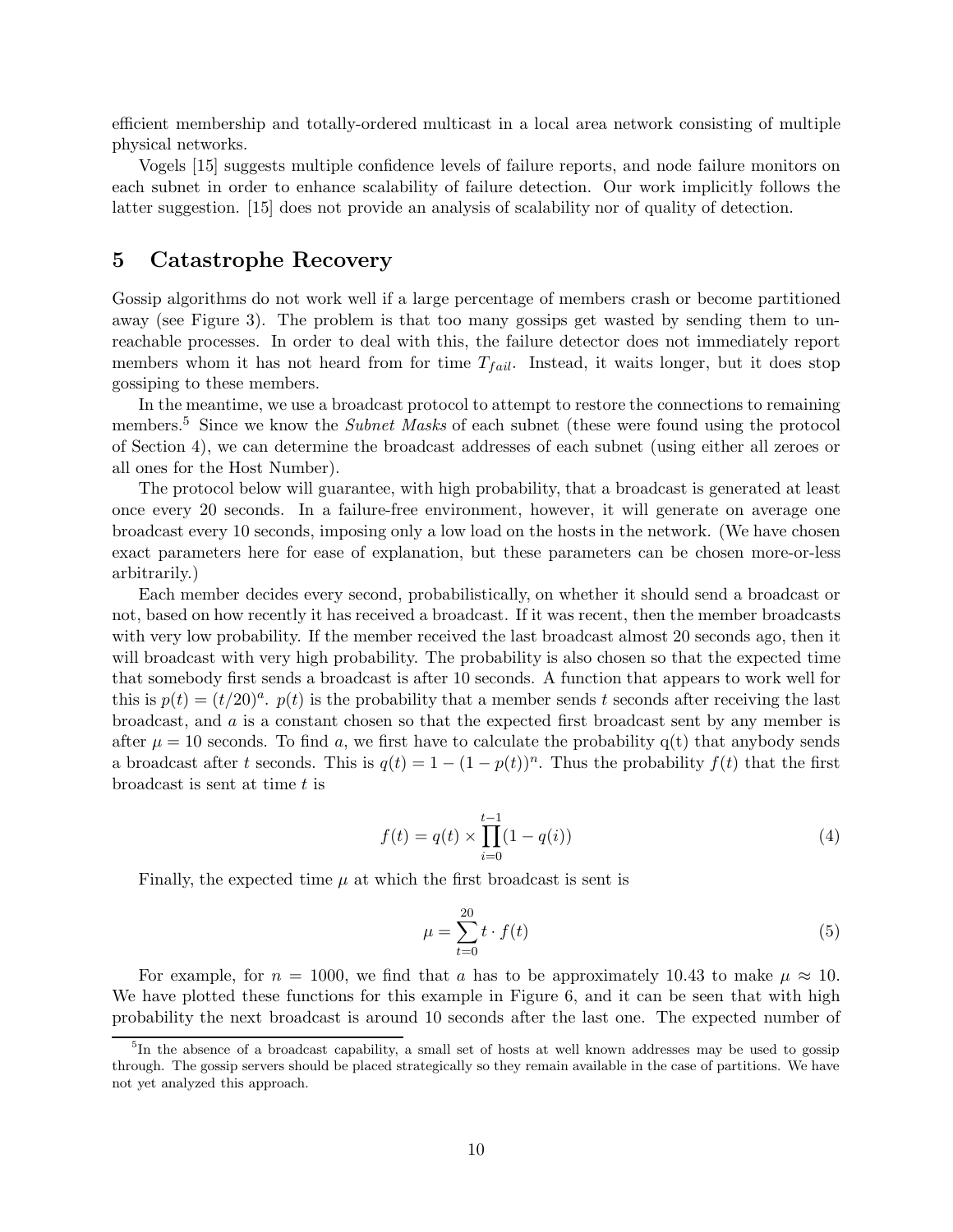efficient membership and totally-ordered multicast in a local area network consisting of multiple physical networks.

Vogels [15] suggests multiple confidence levels of failure reports, and node failure monitors on each subnet in order to enhance scalability of failure detection. Our work implicitly follows the latter suggestion. [15] does not provide an analysis of scalability nor of quality of detection.

#### 5 Catastrophe Recovery

Gossip algorithms do not work well if a large percentage of members crash or become partitioned away (see Figure 3). The problem is that too many gossips get wasted by sending them to unreachable processes. In order to deal with this, the failure detector does not immediately report members whom it has not heard from for time  $T_{fail}$ . Instead, it waits longer, but it does stop gossiping to these members.

In the meantime, we use a broadcast protocol to attempt to restore the connections to remaining members.<sup>5</sup> Since we know the *Subnet Masks* of each subnet (these were found using the protocol of Section 4), we can determine the broadcast addresses of each subnet (using either all zeroes or all ones for the Host Number).

The protocol below will guarantee, with high probability, that a broadcast is generated at least once every 20 seconds. In a failure-free environment, however, it will generate on average one broadcast every 10 seconds, imposing only a low load on the hosts in the network. (We have chosen exact parameters here for ease of explanation, but these parameters can be chosen more-or-less arbitrarily.)

Each member decides every second, probabilistically, on whether it should send a broadcast or not, based on how recently it has received a broadcast. If it was recent, then the member broadcasts with very low probability. If the member received the last broadcast almost 20 seconds ago, then it will broadcast with very high probability. The probability is also chosen so that the expected time that somebody first sends a broadcast is after 10 seconds. A function that appears to work well for this is  $p(t) = (t/20)^a$ .  $p(t)$  is the probability that a member sends t seconds after receiving the last broadcast, and a is a constant chosen so that the expected first broadcast sent by any member is after  $\mu = 10$  seconds. To find a, we first have to calculate the probability  $q(t)$  that anybody sends a broadcast after t seconds. This is  $q(t) = 1 - (1 - p(t))^n$ . Thus the probability  $f(t)$  that the first broadcast is sent at time t is

$$
f(t) = q(t) \times \prod_{i=0}^{t-1} (1 - q(i))
$$
\n(4)

Finally, the expected time  $\mu$  at which the first broadcast is sent is

$$
\mu = \sum_{t=0}^{20} t \cdot f(t) \tag{5}
$$

For example, for  $n = 1000$ , we find that a has to be approximately 10.43 to make  $\mu \approx 10$ . We have plotted these functions for this example in Figure 6, and it can be seen that with high probability the next broadcast is around 10 seconds after the last one. The expected number of

<sup>&</sup>lt;sup>5</sup>In the absence of a broadcast capability, a small set of hosts at well known addresses may be used to gossip through. The gossip servers should be placed strategically so they remain available in the case of partitions. We have not yet analyzed this approach.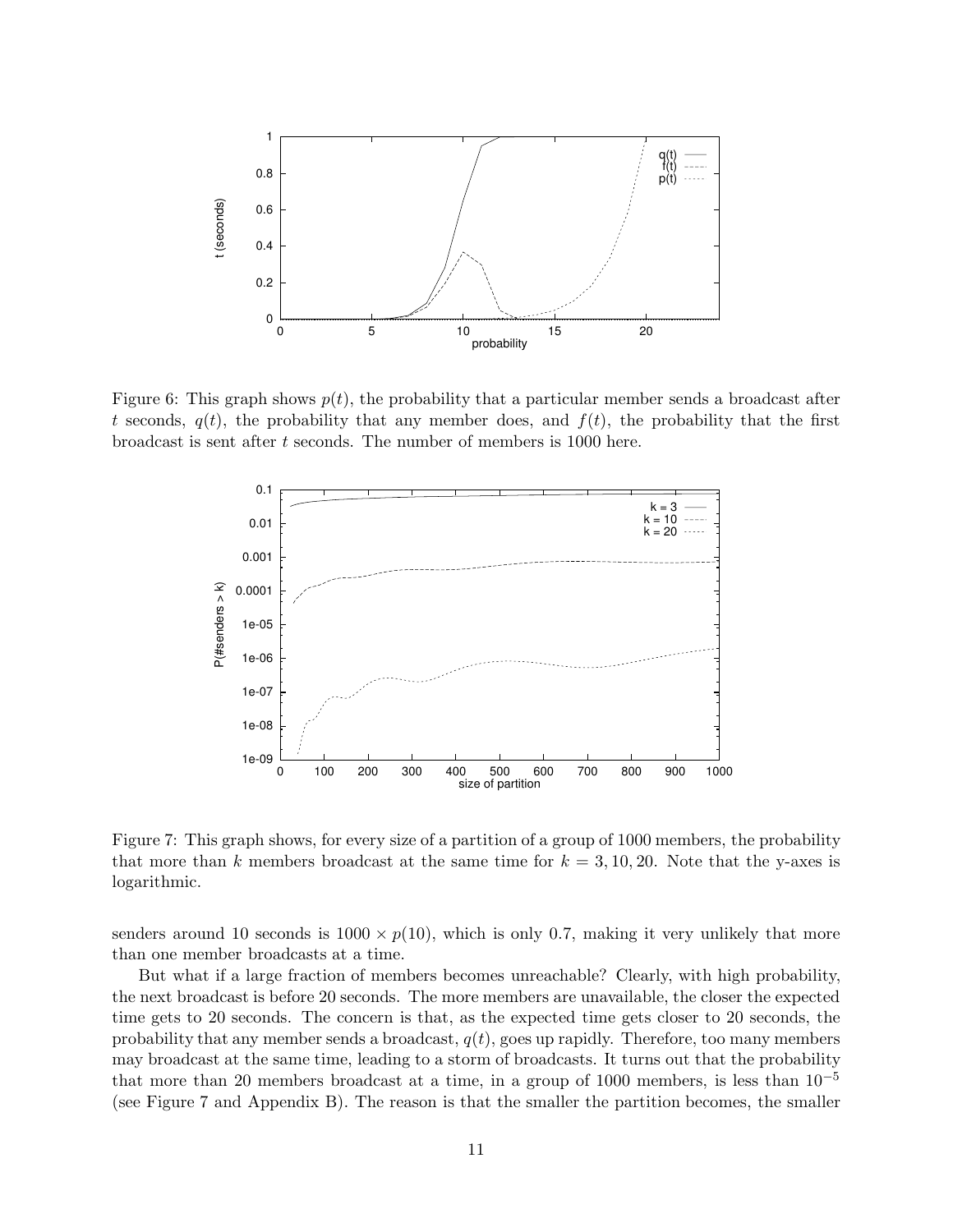

Figure 6: This graph shows  $p(t)$ , the probability that a particular member sends a broadcast after t seconds,  $q(t)$ , the probability that any member does, and  $f(t)$ , the probability that the first broadcast is sent after t seconds. The number of members is 1000 here.



Figure 7: This graph shows, for every size of a partition of a group of 1000 members, the probability that more than k members broadcast at the same time for  $k = 3, 10, 20$ . Note that the y-axes is logarithmic.

senders around 10 seconds is  $1000 \times p(10)$ , which is only 0.7, making it very unlikely that more than one member broadcasts at a time.

But what if a large fraction of members becomes unreachable? Clearly, with high probability, the next broadcast is before 20 seconds. The more members are unavailable, the closer the expected time gets to 20 seconds. The concern is that, as the expected time gets closer to 20 seconds, the probability that any member sends a broadcast,  $q(t)$ , goes up rapidly. Therefore, too many members may broadcast at the same time, leading to a storm of broadcasts. It turns out that the probability that more than 20 members broadcast at a time, in a group of 1000 members, is less than  $10^{-5}$ (see Figure 7 and Appendix B). The reason is that the smaller the partition becomes, the smaller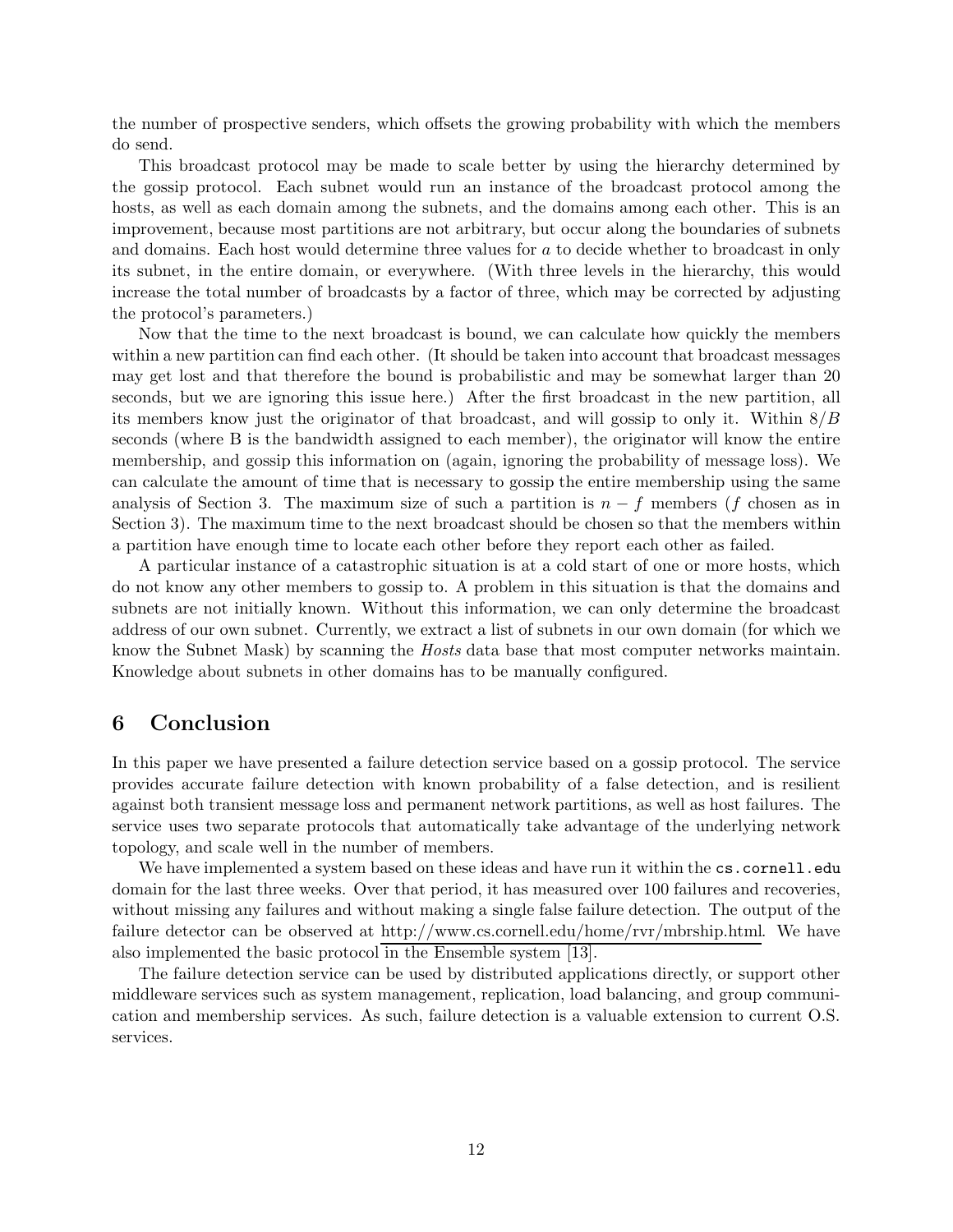the number of prospective senders, which offsets the growing probability with which the members do send.

This broadcast protocol may be made to scale better by using the hierarchy determined by the gossip protocol. Each subnet would run an instance of the broadcast protocol among the hosts, as well as each domain among the subnets, and the domains among each other. This is an improvement, because most partitions are not arbitrary, but occur along the boundaries of subnets and domains. Each host would determine three values for a to decide whether to broadcast in only its subnet, in the entire domain, or everywhere. (With three levels in the hierarchy, this would increase the total number of broadcasts by a factor of three, which may be corrected by adjusting the protocol's parameters.)

Now that the time to the next broadcast is bound, we can calculate how quickly the members within a new partition can find each other. (It should be taken into account that broadcast messages may get lost and that therefore the bound is probabilistic and may be somewhat larger than 20 seconds, but we are ignoring this issue here.) After the first broadcast in the new partition, all its members know just the originator of that broadcast, and will gossip to only it. Within  $8/B$ seconds (where B is the bandwidth assigned to each member), the originator will know the entire membership, and gossip this information on (again, ignoring the probability of message loss). We can calculate the amount of time that is necessary to gossip the entire membership using the same analysis of Section 3. The maximum size of such a partition is  $n - f$  members (f chosen as in Section 3). The maximum time to the next broadcast should be chosen so that the members within a partition have enough time to locate each other before they report each other as failed.

A particular instance of a catastrophic situation is at a cold start of one or more hosts, which do not know any other members to gossip to. A problem in this situation is that the domains and subnets are not initially known. Without this information, we can only determine the broadcast address of our own subnet. Currently, we extract a list of subnets in our own domain (for which we know the Subnet Mask) by scanning the Hosts data base that most computer networks maintain. Knowledge about subnets in other domains has to be manually configured.

## 6 Conclusion

In this paper we have presented a failure detection service based on a gossip protocol. The service provides accurate failure detection with known probability of a false detection, and is resilient against both transient message loss and permanent network partitions, as well as host failures. The service uses two separate protocols that automatically take advantage of the underlying network topology, and scale well in the number of members.

We have implemented a system based on these ideas and have run it within the  $cs$  cornell.edu domain for the last three weeks. Over that period, it has measured over 100 failures and recoveries, without missing any failures and without making a single false failure detection. The output of the failure detector can be observed at http://www.cs.cornell.edu/home/rvr/mbrship.html. We have also implemented the basic protocol in the Ensemble system [13].

The failure detection service can be used by distributed applications directly, or support other middleware services such as system management, replication, load balancing, and group communication and membership services. As such, failure detection is a valuable extension to current O.S. services.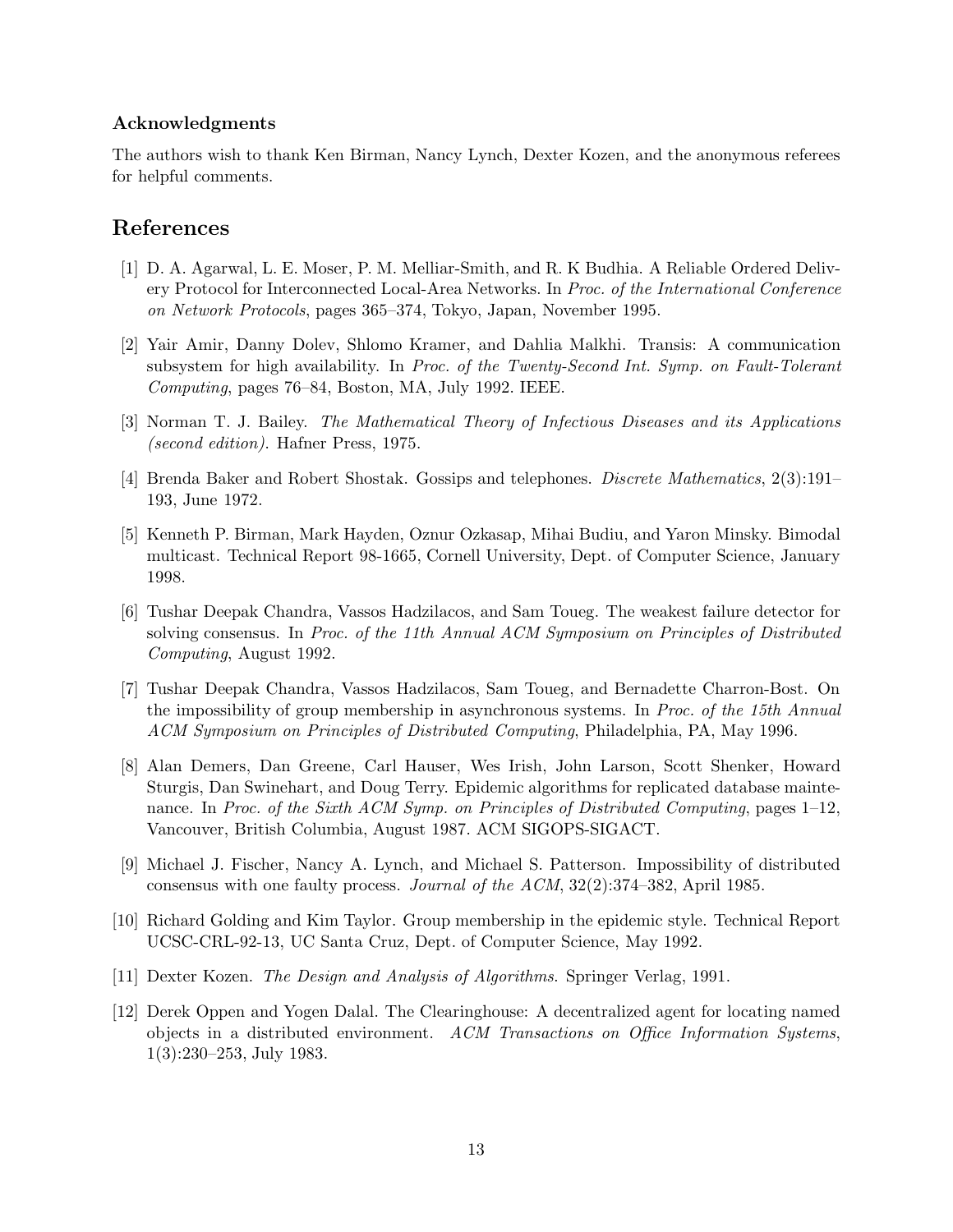#### Acknowledgments

The authors wish to thank Ken Birman, Nancy Lynch, Dexter Kozen, and the anonymous referees for helpful comments.

## References

- [1] D. A. Agarwal, L. E. Moser, P. M. Melliar-Smith, and R. K Budhia. A Reliable Ordered Delivery Protocol for Interconnected Local-Area Networks. In Proc. of the International Conference on Network Protocols, pages 365–374, Tokyo, Japan, November 1995.
- [2] Yair Amir, Danny Dolev, Shlomo Kramer, and Dahlia Malkhi. Transis: A communication subsystem for high availability. In Proc. of the Twenty-Second Int. Symp. on Fault-Tolerant Computing, pages 76–84, Boston, MA, July 1992. IEEE.
- [3] Norman T. J. Bailey. The Mathematical Theory of Infectious Diseases and its Applications (second edition). Hafner Press, 1975.
- [4] Brenda Baker and Robert Shostak. Gossips and telephones. Discrete Mathematics, 2(3):191– 193, June 1972.
- [5] Kenneth P. Birman, Mark Hayden, Oznur Ozkasap, Mihai Budiu, and Yaron Minsky. Bimodal multicast. Technical Report 98-1665, Cornell University, Dept. of Computer Science, January 1998.
- [6] Tushar Deepak Chandra, Vassos Hadzilacos, and Sam Toueg. The weakest failure detector for solving consensus. In Proc. of the 11th Annual ACM Symposium on Principles of Distributed Computing, August 1992.
- [7] Tushar Deepak Chandra, Vassos Hadzilacos, Sam Toueg, and Bernadette Charron-Bost. On the impossibility of group membership in asynchronous systems. In Proc. of the 15th Annual ACM Symposium on Principles of Distributed Computing, Philadelphia, PA, May 1996.
- [8] Alan Demers, Dan Greene, Carl Hauser, Wes Irish, John Larson, Scott Shenker, Howard Sturgis, Dan Swinehart, and Doug Terry. Epidemic algorithms for replicated database maintenance. In Proc. of the Sixth ACM Symp. on Principles of Distributed Computing, pages 1–12, Vancouver, British Columbia, August 1987. ACM SIGOPS-SIGACT.
- [9] Michael J. Fischer, Nancy A. Lynch, and Michael S. Patterson. Impossibility of distributed consensus with one faulty process. Journal of the ACM, 32(2):374–382, April 1985.
- [10] Richard Golding and Kim Taylor. Group membership in the epidemic style. Technical Report UCSC-CRL-92-13, UC Santa Cruz, Dept. of Computer Science, May 1992.
- [11] Dexter Kozen. The Design and Analysis of Algorithms. Springer Verlag, 1991.
- [12] Derek Oppen and Yogen Dalal. The Clearinghouse: A decentralized agent for locating named objects in a distributed environment. ACM Transactions on Office Information Systems, 1(3):230–253, July 1983.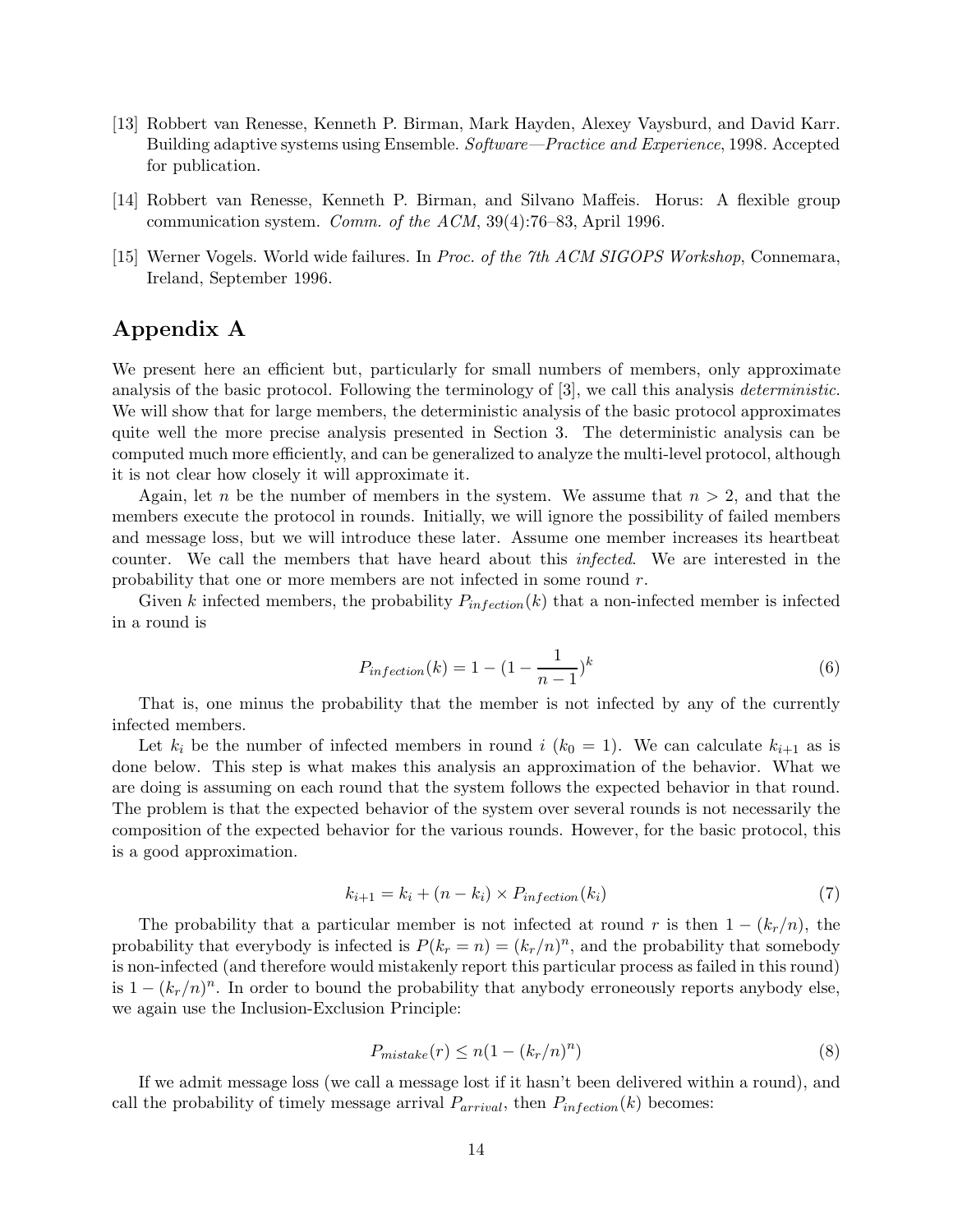- [13] Robbert van Renesse, Kenneth P. Birman, Mark Hayden, Alexey Vaysburd, and David Karr. Building adaptive systems using Ensemble. Software—Practice and Experience, 1998. Accepted for publication.
- [14] Robbert van Renesse, Kenneth P. Birman, and Silvano Maffeis. Horus: A flexible group communication system. Comm. of the ACM, 39(4):76–83, April 1996.
- [15] Werner Vogels. World wide failures. In Proc. of the 7th ACM SIGOPS Workshop, Connemara, Ireland, September 1996.

## Appendix A

We present here an efficient but, particularly for small numbers of members, only approximate analysis of the basic protocol. Following the terminology of [3], we call this analysis deterministic. We will show that for large members, the deterministic analysis of the basic protocol approximates quite well the more precise analysis presented in Section 3. The deterministic analysis can be computed much more efficiently, and can be generalized to analyze the multi-level protocol, although it is not clear how closely it will approximate it.

Again, let n be the number of members in the system. We assume that  $n > 2$ , and that the members execute the protocol in rounds. Initially, we will ignore the possibility of failed members and message loss, but we will introduce these later. Assume one member increases its heartbeat counter. We call the members that have heard about this infected. We are interested in the probability that one or more members are not infected in some round r.

Given k infected members, the probability  $P_{infection}(k)$  that a non-infected member is infected in a round is

$$
P_{infection}(k) = 1 - (1 - \frac{1}{n-1})^k
$$
\n(6)

That is, one minus the probability that the member is not infected by any of the currently infected members.

Let  $k_i$  be the number of infected members in round  $i$  ( $k_0 = 1$ ). We can calculate  $k_{i+1}$  as is done below. This step is what makes this analysis an approximation of the behavior. What we are doing is assuming on each round that the system follows the expected behavior in that round. The problem is that the expected behavior of the system over several rounds is not necessarily the composition of the expected behavior for the various rounds. However, for the basic protocol, this is a good approximation.

$$
k_{i+1} = k_i + (n - k_i) \times P_{infection}(k_i)
$$
\n
$$
(7)
$$

The probability that a particular member is not infected at round r is then  $1 - (k_r/n)$ , the probability that everybody is infected is  $P(k_r = n) = (k_r/n)^n$ , and the probability that somebody is non-infected (and therefore would mistakenly report this particular process as failed in this round) is  $1 - (k_r/n)^n$ . In order to bound the probability that anybody erroneously reports anybody else, we again use the Inclusion-Exclusion Principle:

$$
P_{mistake}(r) \le n(1 - (k_r/n)^n)
$$
\n(8)

If we admit message loss (we call a message lost if it hasn't been delivered within a round), and call the probability of timely message arrival  $P_{arrival}$ , then  $P_{infection}(k)$  becomes: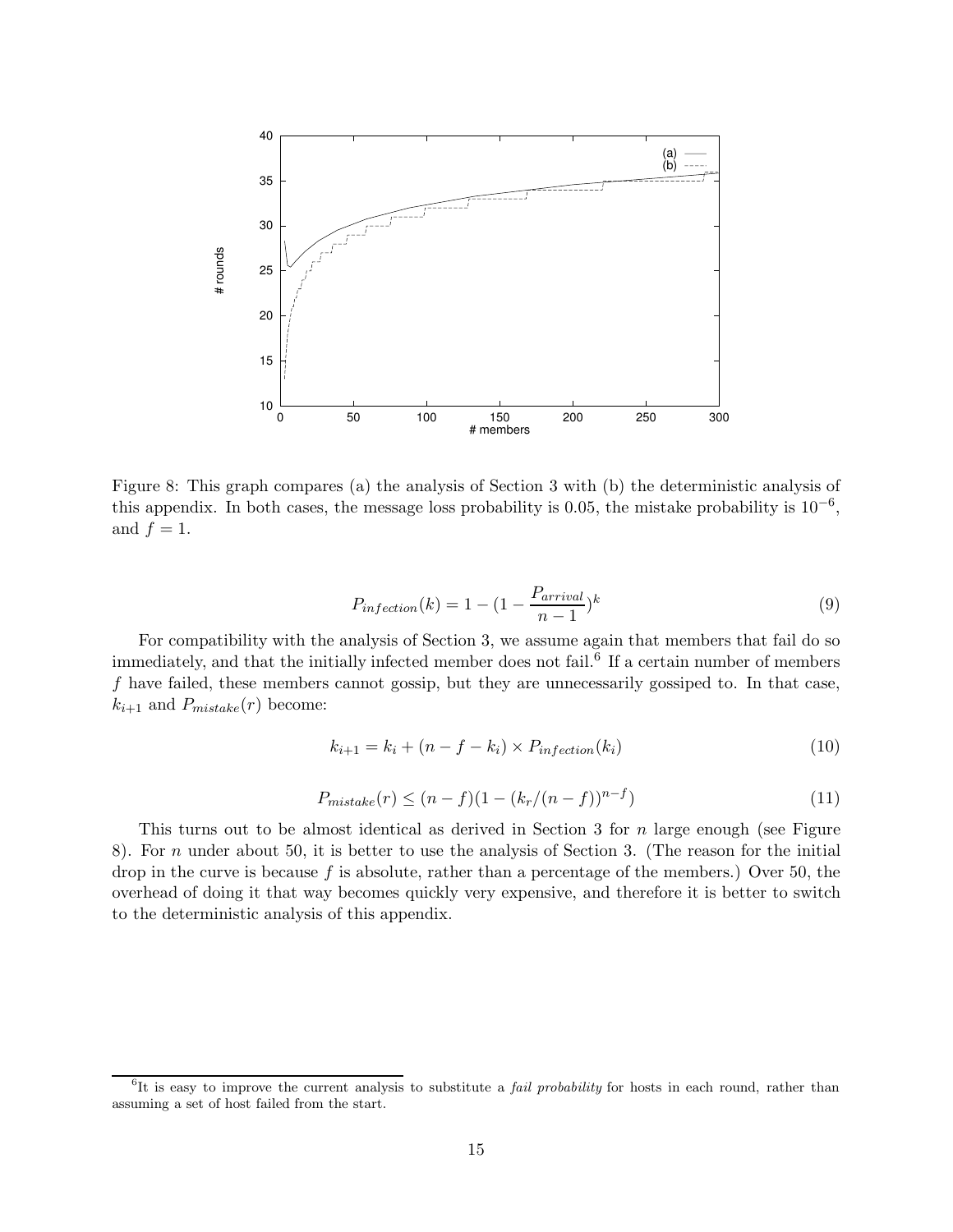

Figure 8: This graph compares (a) the analysis of Section 3 with (b) the deterministic analysis of this appendix. In both cases, the message loss probability is 0.05, the mistake probability is  $10^{-6}$ , and  $f = 1$ .

$$
P_{infection}(k) = 1 - (1 - \frac{P_{arrival}}{n-1})^k
$$
\n(9)

For compatibility with the analysis of Section 3, we assume again that members that fail do so immediately, and that the initially infected member does not fail.<sup>6</sup> If a certain number of members f have failed, these members cannot gossip, but they are unnecessarily gossiped to. In that case,  $k_{i+1}$  and  $P_{mistake}(r)$  become:

$$
k_{i+1} = k_i + (n - f - k_i) \times P_{infection}(k_i)
$$
\n
$$
(10)
$$

$$
P_{mistake}(r) \le (n-f)(1 - (k_r/(n-f))^{n-f})
$$
\n(11)

This turns out to be almost identical as derived in Section 3 for  $n$  large enough (see Figure 8). For n under about 50, it is better to use the analysis of Section 3. (The reason for the initial drop in the curve is because  $f$  is absolute, rather than a percentage of the members.) Over 50, the overhead of doing it that way becomes quickly very expensive, and therefore it is better to switch to the deterministic analysis of this appendix.

 ${}^{6}$ It is easy to improve the current analysis to substitute a *fail probability* for hosts in each round, rather than assuming a set of host failed from the start.